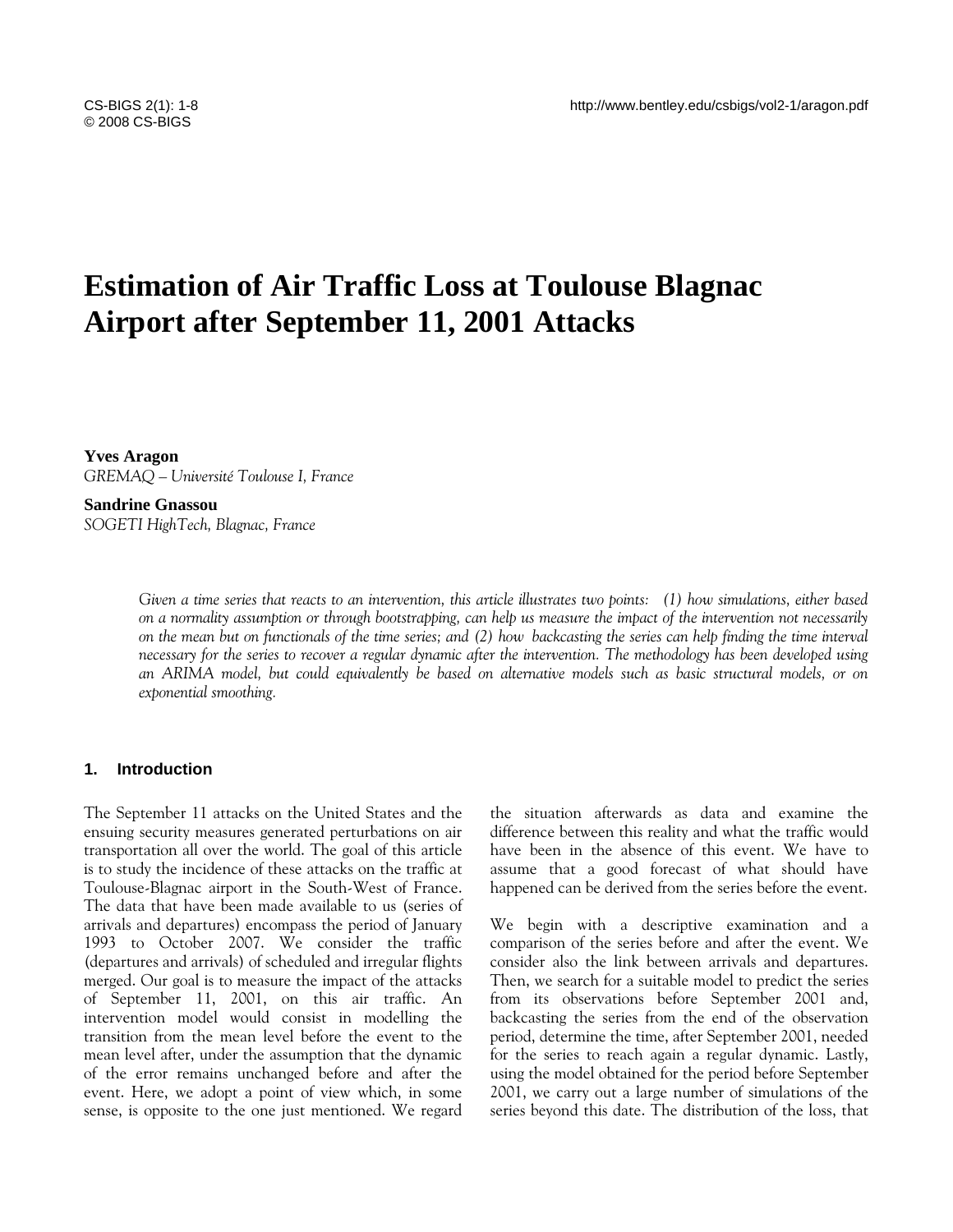# **Estimation of Air Traffic Loss at Toulouse Blagnac Airport after September 11, 2001 Attacks**

**Yves Aragon**  *GREMAQ – Université Toulouse I, France* 

**Sandrine Gnassou**  *SOGETI HighTech, Blagnac, France* 

> *Given a time series that reacts to an intervention, this article illustrates two points: (1) how simulations, either based on a normality assumption or through bootstrapping, can help us measure the impact of the intervention not necessarily on the mean but on functionals of the time series; and (2) how backcasting the series can help finding the time interval necessary for the series to recover a regular dynamic after the intervention. The methodology has been developed using an ARIMA model, but could equivalently be based on alternative models such as basic structural models, or on exponential smoothing.*

### **1. Introduction**

The September 11 attacks on the United States and the ensuing security measures generated perturbations on air transportation all over the world. The goal of this article is to study the incidence of these attacks on the traffic at Toulouse-Blagnac airport in the South-West of France. The data that have been made available to us (series of arrivals and departures) encompass the period of January 1993 to October 2007. We consider the traffic (departures and arrivals) of scheduled and irregular flights merged. Our goal is to measure the impact of the attacks of September 11, 2001, on this air traffic. An intervention model would consist in modelling the transition from the mean level before the event to the mean level after, under the assumption that the dynamic of the error remains unchanged before and after the event. Here, we adopt a point of view which, in some sense, is opposite to the one just mentioned. We regard the situation afterwards as data and examine the difference between this reality and what the traffic would have been in the absence of this event. We have to assume that a good forecast of what should have happened can be derived from the series before the event.

We begin with a descriptive examination and a comparison of the series before and after the event. We consider also the link between arrivals and departures. Then, we search for a suitable model to predict the series from its observations before September 2001 and, backcasting the series from the end of the observation period, determine the time, after September 2001, needed for the series to reach again a regular dynamic. Lastly, using the model obtained for the period before September 2001, we carry out a large number of simulations of the series beyond this date. The distribution of the loss, that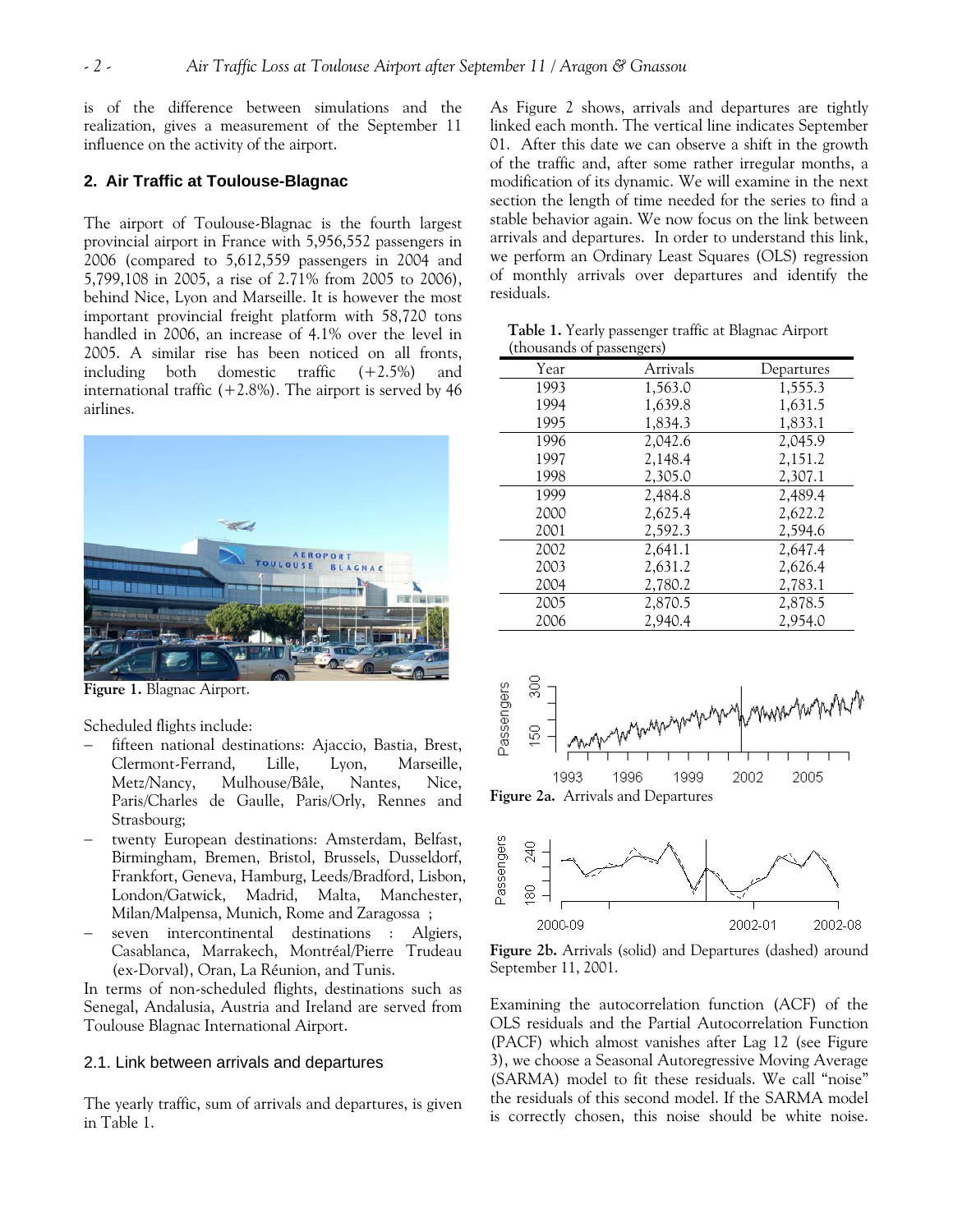is of the difference between simulations and the realization, gives a measurement of the September 11 influence on the activity of the airport.

# **2. Air Traffic at Toulouse-Blagnac**

The airport of Toulouse-Blagnac is the fourth largest provincial airport in France with 5,956,552 passengers in 2006 (compared to 5,612,559 passengers in 2004 and 5,799,108 in 2005, a rise of 2.71% from 2005 to 2006), behind Nice, Lyon and Marseille. It is however the most important provincial freight platform with 58,720 tons handled in 2006, an increase of 4.1% over the level in 2005. A similar rise has been noticed on all fronts, including both domestic traffic (+2.5%) and international traffic  $(+2.8\%)$ . The airport is served by 46 airlines.



**Figure 1.** Blagnac Airport.

Scheduled flights include:

- fifteen national destinations: Ajaccio, Bastia, Brest, Clermont-Ferrand, Lille, Lyon, Marseille, Metz/Nancy, Mulhouse/Bâle, Nantes, Nice, Paris/Charles de Gaulle, Paris/Orly, Rennes and Strasbourg;
- − twenty European destinations: Amsterdam, Belfast, Birmingham, Bremen, Bristol, Brussels, Dusseldorf, Frankfort, Geneva, Hamburg, Leeds/Bradford, Lisbon, London/Gatwick, Madrid, Malta, Manchester, Milan/Malpensa, Munich, Rome and Zaragossa ;
- seven intercontinental destinations : Algiers, Casablanca, Marrakech, Montréal/Pierre Trudeau (ex-Dorval), Oran, La Réunion, and Tunis.

In terms of non-scheduled flights, destinations such as Senegal, Andalusia, Austria and Ireland are served from Toulouse Blagnac International Airport.

## 2.1. Link between arrivals and departures

The yearly traffic, sum of arrivals and departures, is given in Table 1.

As Figure 2 shows, arrivals and departures are tightly linked each month. The vertical line indicates September 01. After this date we can observe a shift in the growth of the traffic and, after some rather irregular months, a modification of its dynamic. We will examine in the next section the length of time needed for the series to find a stable behavior again. We now focus on the link between arrivals and departures. In order to understand this link, we perform an Ordinary Least Squares (OLS) regression of monthly arrivals over departures and identify the residuals.

**Table 1.** Yearly passenger traffic at Blagnac Airport (thousands of passengers)

| Tuluusallus ol passulguis) |          |            |
|----------------------------|----------|------------|
| Year                       | Arrivals | Departures |
| 1993                       | 1,563.0  | 1,555.3    |
| 1994                       | 1,639.8  | 1,631.5    |
| 1995                       | 1,834.3  | 1,833.1    |
| 1996                       | 2,042.6  | 2,045.9    |
| 1997                       | 2,148.4  | 2,151.2    |
| 1998                       | 2,305.0  | 2,307.1    |
| 1999                       | 2,484.8  | 2.489.4    |
| 2000                       | 2,625.4  | 2,622.2    |
| 2001                       | 2,592.3  | 2,594.6    |
| 2002                       | 2,641.1  | 2,647.4    |
| 2003                       | 2,631.2  | 2,626.4    |
| 2004                       | 2,780.2  | 2,783.1    |
| 2005                       | 2,870.5  | 2,878.5    |
| 2006                       | 2,940.4  | 2,954.0    |
|                            |          |            |



**Figure 2a.** Arrivals and Departures



**Figure 2b.** Arrivals (solid) and Departures (dashed) around September 11, 2001.

Examining the autocorrelation function (ACF) of the OLS residuals and the Partial Autocorrelation Function (PACF) which almost vanishes after Lag 12 (see Figure 3), we choose a Seasonal Autoregressive Moving Average (SARMA) model to fit these residuals. We call "noise" the residuals of this second model. If the SARMA model is correctly chosen, this noise should be white noise.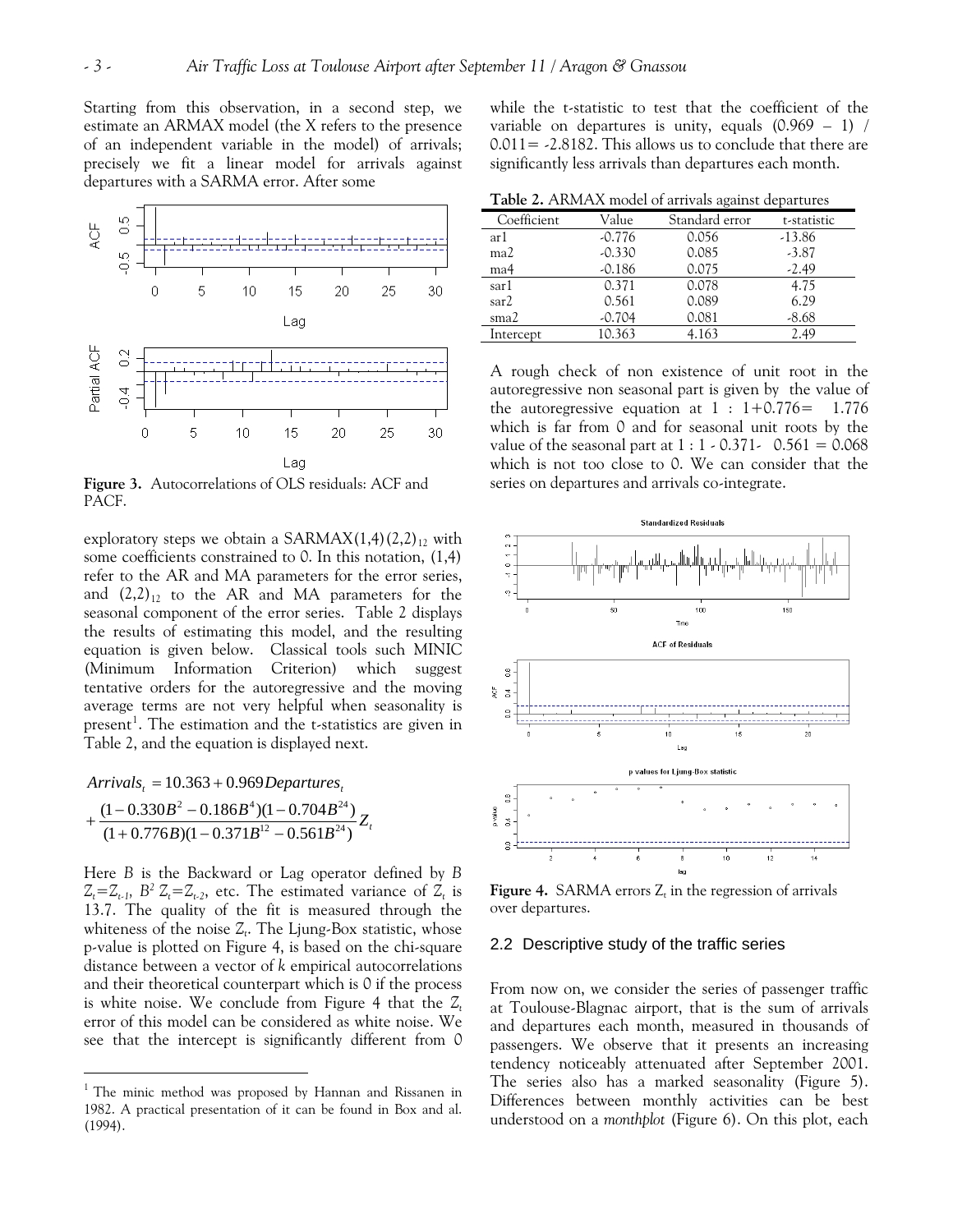Starting from this observation, in a second step, we estimate an ARMAX model (the X refers to the presence of an independent variable in the model) of arrivals; precisely we fit a linear model for arrivals against departures with a SARMA error. After some



**Figure 3.** Autocorrelations of OLS residuals: ACF and PACF.

exploratory steps we obtain a SARMAX $(1,4)(2,2)_{12}$  with some coefficients constrained to 0. In this notation, (1,4) refer to the AR and MA parameters for the error series, and  $(2,2)_{12}$  to the AR and MA parameters for the seasonal component of the error series. Table 2 displays the results of estimating this model, and the resulting equation is given below. Classical tools such MINIC (Minimum Information Criterion) which suggest tentative orders for the autoregressive and the moving average terms are not very helpful when seasonality is present<sup>[1](#page-2-0)</sup>. The estimation and the t-statistics are given in Table 2, and the equation is displayed next.

 $Arrivals<sub>t</sub> = 10.363 + 0.969$  *Departures*<sub>t</sub>

 $\overline{a}$ 

$$
+\frac{(1-0.330B^2-0.186B^4)(1-0.704B^{24})}{(1+0.776B)(1-0.371B^{12}-0.561B^{24})}Z_t
$$

Here *B* is the Backward or Lag operator defined by *B*   $Z_t = Z_{t-1}$ ,  $B^2 Z_t = Z_{t-2}$ , etc. The estimated variance of  $Z_t$  is 13.7. The quality of the fit is measured through the whiteness of the noise  $Z_t$ . The Ljung-Box statistic, whose p-value is plotted on Figure 4, is based on the chi-square distance between a vector of *k* empirical autocorrelations and their theoretical counterpart which is 0 if the process is white noise. We conclude from Figure 4 that the  $Z_t$ error of this model can be considered as white noise. We see that the intercept is significantly different from 0

while the t-statistic to test that the coefficient of the variable on departures is unity, equals  $(0.969 - 1)$  /  $0.011 = -2.8182$ . This allows us to conclude that there are significantly less arrivals than departures each month.

**Table 2.** ARMAX model of arrivals against departures

| Value    | Standard error | t-statistic |  |  |  |  |  |
|----------|----------------|-------------|--|--|--|--|--|
| $-0.776$ | 0.056          | $-13.86$    |  |  |  |  |  |
| $-0.330$ | 0.085          | $-3.87$     |  |  |  |  |  |
| $-0.186$ | 0.075          | $-2.49$     |  |  |  |  |  |
| 0.371    | 0.078          | 4.75        |  |  |  |  |  |
| 0.561    | 0.089          | 6.29        |  |  |  |  |  |
| $-0.704$ | 0.081          | $-8.68$     |  |  |  |  |  |
| 10.363   | 4.163          | 2.49        |  |  |  |  |  |
|          |                |             |  |  |  |  |  |

A rough check of non existence of unit root in the autoregressive non seasonal part is given by the value of the autoregressive equation at  $1 : 1+0.776 = 1.776$ which is far from 0 and for seasonal unit roots by the value of the seasonal part at  $1 : 1 - 0.371 - 0.561 = 0.068$ which is not too close to 0. We can consider that the series on departures and arrivals co-integrate.



**Figure 4.** SARMA errors  $Z_t$  in the regression of arrivals over departures.

#### 2.2 Descriptive study of the traffic series

From now on, we consider the series of passenger traffic at Toulouse-Blagnac airport, that is the sum of arrivals and departures each month, measured in thousands of passengers. We observe that it presents an increasing tendency noticeably attenuated after September 2001. The series also has a marked seasonality (Figure 5). Differences between monthly activities can be best understood on a *monthplot* (Figure 6). On this plot, each

<span id="page-2-0"></span><sup>&</sup>lt;sup>1</sup> The minic method was proposed by Hannan and Rissanen in 1982. A practical presentation of it can be found in Box and al. (1994).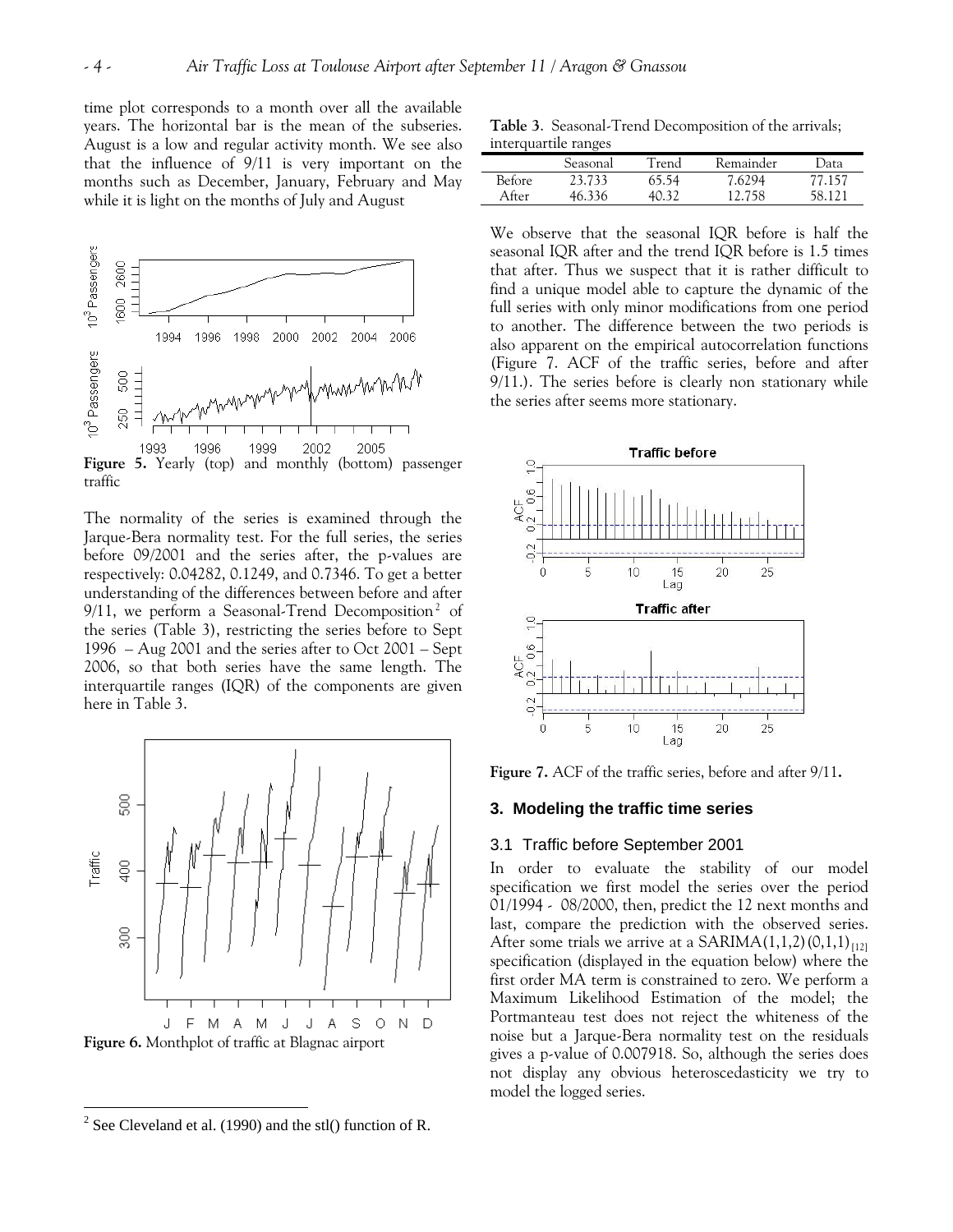time plot corresponds to a month over all the available years. The horizontal bar is the mean of the subseries. August is a low and regular activity month. We see also that the influence of 9/11 is very important on the months such as December, January, February and May while it is light on the months of July and August



traffic

The normality of the series is examined through the Jarque-Bera normality test. For the full series, the series before 09/2001 and the series after, the p-values are respectively: 0.04282, 0.1249, and 0.7346. To get a better understanding of the differences between before and after 9/11, we perform a Seasonal-Trend Decomposition<sup>[2](#page-3-0)</sup> of the series (Table 3), restricting the series before to Sept 1996 – Aug 2001 and the series after to Oct 2001 – Sept 2006, so that both series have the same length. The interquartile ranges (IQR) of the components are given here in Table 3.

<span id="page-3-1"></span>

 $\overline{a}$ 

**Table 3**. Seasonal-Trend Decomposition of the arrivals; interquartile ranges

|        | Seasonal | Trend | Remainder | Data     |
|--------|----------|-------|-----------|----------|
| Before | 23.733   | 65.54 | 7.6294    | 77.157   |
| After  | 46.336   | 40 32 | 12.758    | 58 1 2 1 |

We observe that the seasonal IQR before is half the seasonal IQR after and the trend IQR before is 1.5 times that after. Thus we suspect that it is rather difficult to find a unique model able to capture the dynamic of the full series with only minor modifications from one period to another. The difference between the two periods is also apparent on the empirical autocorrelation functions ([Figure 7. ACF of the traffic series, before and after](#page-3-1)  [9/11.](#page-3-1)). The series before is clearly non stationary while the series after seems more stationary.



**Figure 7.** ACF of the traffic series, before and after 9/11**.** 

#### **3. Modeling the traffic time series**

#### 3.1 Traffic before September 2001

In order to evaluate the stability of our model specification we first model the series over the period 01/1994 - 08/2000, then, predict the 12 next months and last, compare the prediction with the observed series. After some trials we arrive at a SARIMA $(1,1,2)(0,1,1)$ <sub>[12]</sub> specification (displayed in the equation below) where the first order MA term is constrained to zero. We perform a Maximum Likelihood Estimation of the model; the Portmanteau test does not reject the whiteness of the noise but a Jarque-Bera normality test on the residuals gives a p-value of 0.007918. So, although the series does not display any obvious heteroscedasticity we try to model the logged series.

<span id="page-3-0"></span><sup>&</sup>lt;sup>2</sup> See Cleveland et al. (1990) and the stl() function of R.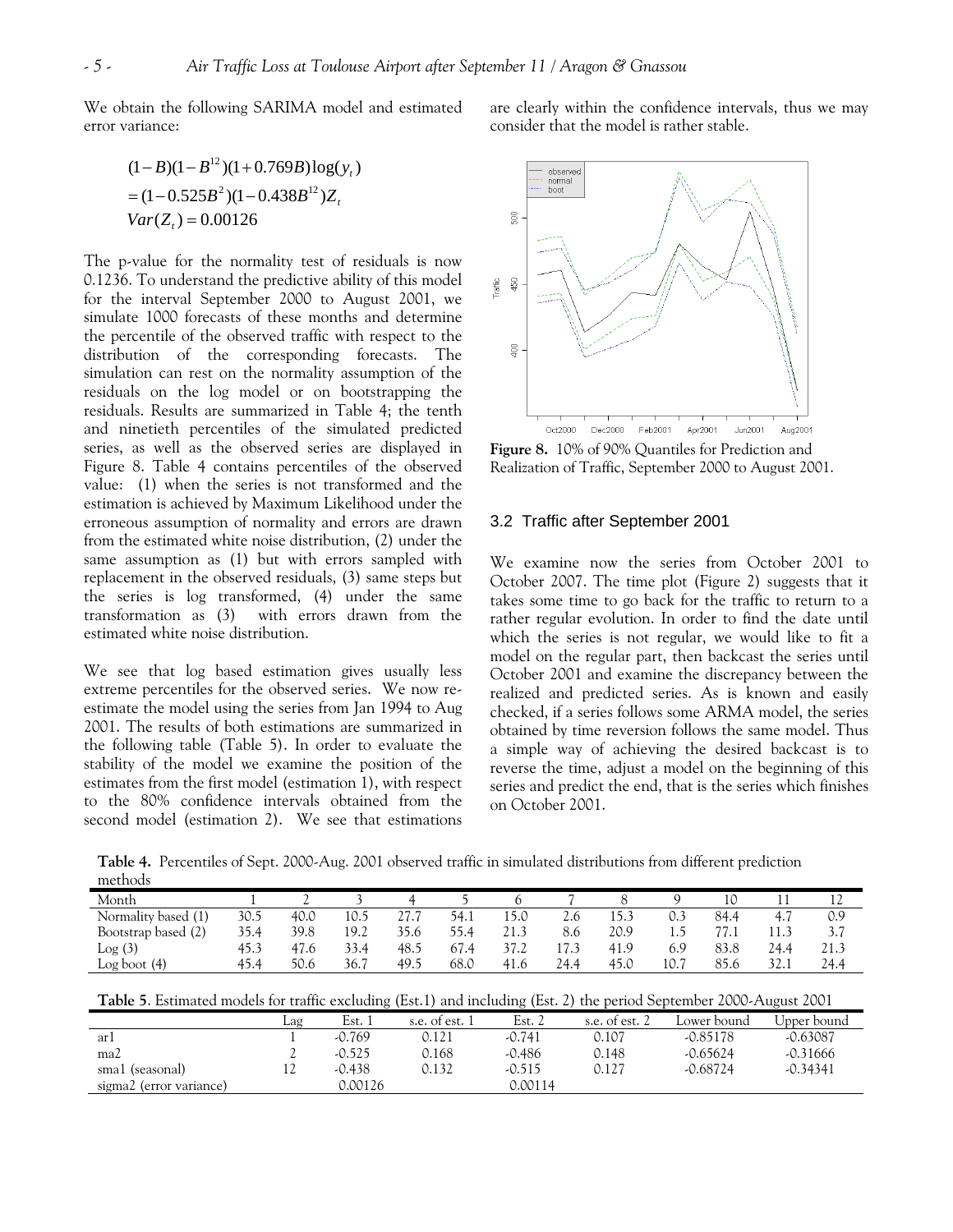We obtain the following SARIMA model and estimated error variance:

$$
(1 - B)(1 - B12)(1 + 0.769B)log(yt)
$$
  
= (1 - 0.525B<sup>2</sup>)(1 - 0.438B<sup>12</sup>)Z<sub>t</sub>  
Var(Z<sub>t</sub>) = 0.00126

The p-value for the normality test of residuals is now 0.1236. To understand the predictive ability of this model for the interval September 2000 to August 2001, we simulate 1000 forecasts of these months and determine the percentile of the observed traffic with respect to the distribution of the corresponding forecasts. The simulation can rest on the normality assumption of the residuals on the log model or on bootstrapping the residuals. Results are summarized in Table 4; the tenth and ninetieth percentiles of the simulated predicted series, as well as the observed series are displayed in Figure 8. Table 4 contains percentiles of the observed value: (1) when the series is not transformed and the estimation is achieved by Maximum Likelihood under the erroneous assumption of normality and errors are drawn from the estimated white noise distribution, (2) under the same assumption as (1) but with errors sampled with replacement in the observed residuals, (3) same steps but the series is log transformed, (4) under the same transformation as (3) with errors drawn from the estimated white noise distribution.

We see that log based estimation gives usually less extreme percentiles for the observed series. We now reestimate the model using the series from Jan 1994 to Aug 2001. The results of both estimations are summarized in the following table (Table 5). In order to evaluate the stability of the model we examine the position of the estimates from the first model (estimation 1), with respect to the 80% confidence intervals obtained from the second model (estimation 2). We see that estimations are clearly within the confidence intervals, thus we may consider that the model is rather stable.



**Figure 8.** 10% of 90% Quantiles for Prediction and Realization of Traffic, September 2000 to August 2001.

## 3.2 Traffic after September 2001

We examine now the series from October 2001 to October 2007. The time plot (Figure 2) suggests that it takes some time to go back for the traffic to return to a rather regular evolution. In order to find the date until which the series is not regular, we would like to fit a model on the regular part, then backcast the series until October 2001 and examine the discrepancy between the realized and predicted series. As is known and easily checked, if a series follows some ARMA model, the series obtained by time reversion follows the same model. Thus a simple way of achieving the desired backcast is to reverse the time, adjust a model on the beginning of this series and predict the end, that is the series which finishes on October 2001.

**Table 4.** Percentiles of Sept. 2000-Aug. 2001 observed traffic in simulated distributions from different prediction methods

| 10<br>14                                     |
|----------------------------------------------|
| 15.3<br>84.4<br>0.9<br>2.6<br>-<br>4.        |
| 20.9<br>8.6<br>77.1<br>11.3<br>3.7<br>L.)    |
| 83.8<br>17.3<br>41.9<br>24.4<br>21.3<br>6.9  |
| 10.7<br>85.6<br>32.1<br>24.4<br>45.0<br>24.4 |
|                                              |

**Table 5**. Estimated models for traffic excluding (Est.1) and including (Est. 2) the period September 2000-August 2001

|                         |     | .        |                | $\cdots$ |              |             | . .         |
|-------------------------|-----|----------|----------------|----------|--------------|-------------|-------------|
|                         | Laq | Est. :   | s.e. of est. 1 | Est. $2$ | s.e. of est. | Lower bound | Jpper bound |
| arı                     |     | $-0.769$ | 0.121          | $-0.741$ | 0.107        | $-0.85178$  | $-0.63087$  |
| ma2                     | ∼   | $-0.525$ | 0.168          | $-0.486$ | 0.148        | $-0.65624$  | $-0.31666$  |
| sma1 (seasonal)         | ┸┵  | -0.438   | 0.132          | $-0.515$ | 0.127        | $-0.68724$  | $-0.34341$  |
| sigma2 (error variance) |     | 0.00126  |                | 0.00114  |              |             |             |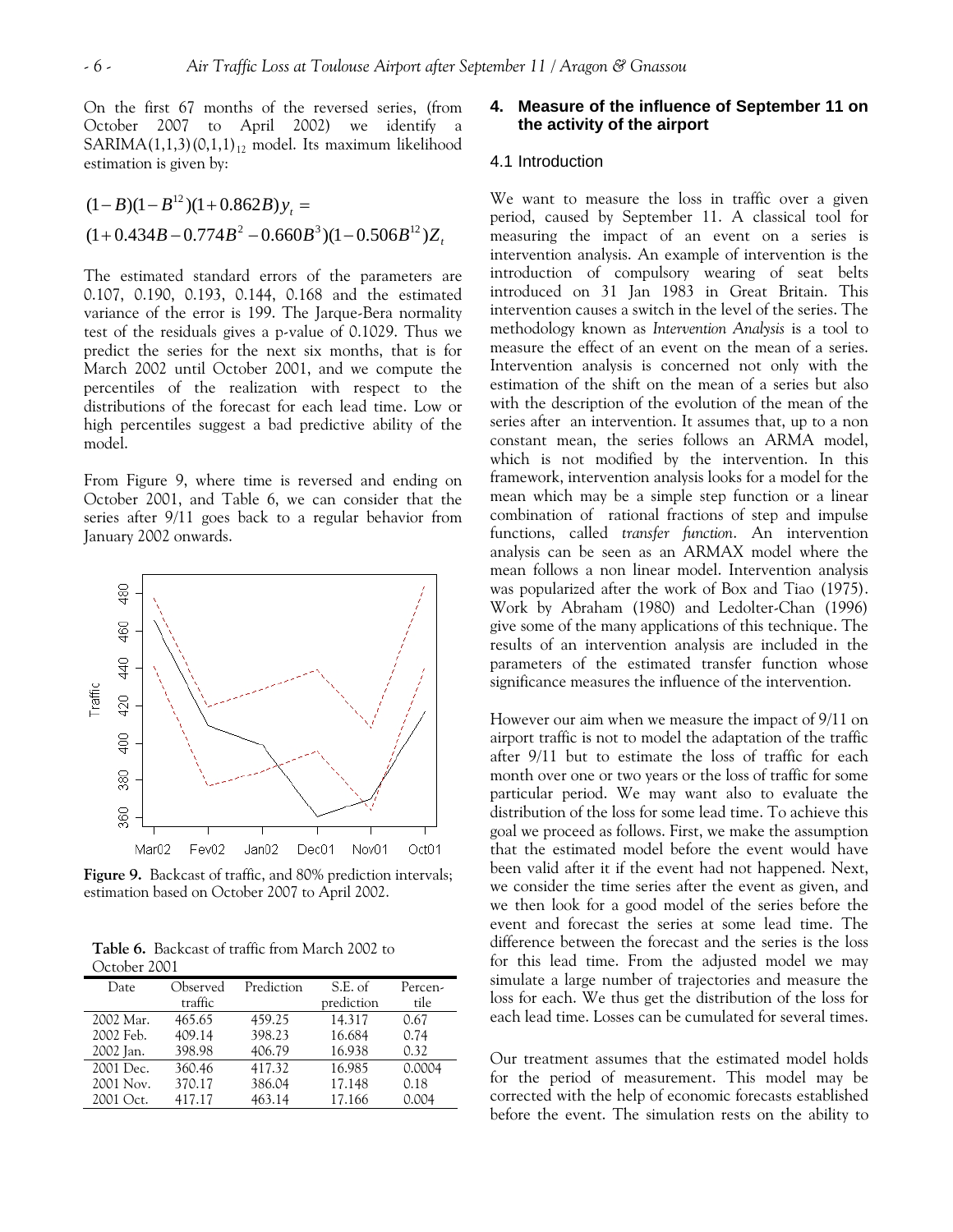On the first 67 months of the reversed series, (from October 2007 to April 2002) we identify a SARIMA $(1,1,3)(0,1,1)<sub>12</sub>$  model. Its maximum likelihood estimation is given by:

 $(1+0.434B - 0.774B^2 - 0.660B^3)(1-0.506B^{12})Z_t$  $(1-B)(1-B^{12})(1+0.862B)y_t =$ 

The estimated standard errors of the parameters are 0.107, 0.190, 0.193, 0.144, 0.168 and the estimated variance of the error is 199. The Jarque-Bera normality test of the residuals gives a p-value of 0.1029. Thus we predict the series for the next six months, that is for March 2002 until October 2001, and we compute the percentiles of the realization with respect to the distributions of the forecast for each lead time. Low or high percentiles suggest a bad predictive ability of the model.

From Figure 9, where time is reversed and ending on October 2001, and Table 6, we can consider that the series after 9/11 goes back to a regular behavior from January 2002 onwards.



**Figure 9.** Backcast of traffic, and 80% prediction intervals; estimation based on October 2007 to April 2002.

**Table 6.** Backcast of traffic from March 2002 to October 2001

| Date      | Observed | Prediction | S.E. of    | Percen- |
|-----------|----------|------------|------------|---------|
|           | traffic  |            | prediction | tile    |
| 2002 Mar. | 465.65   | 459.25     | 14.317     | 0.67    |
| 2002 Feb. | 409.14   | 398.23     | 16.684     | 0.74    |
| 2002 Jan. | 398.98   | 406.79     | 16.938     | 0.32    |
| 2001 Dec. | 360.46   | 417.32     | 16.985     | 0.0004  |
| 2001 Nov. | 370.17   | 386.04     | 17.148     | 0.18    |
| 2001 Oct. | 417.17   | 463.14     | 17.166     | 0.004   |
|           |          |            |            |         |

# **4. Measure of the influence of September 11 on the activity of the airport**

## 4.1 Introduction

We want to measure the loss in traffic over a given period, caused by September 11. A classical tool for measuring the impact of an event on a series is intervention analysis. An example of intervention is the introduction of compulsory wearing of seat belts introduced on 31 Jan 1983 in Great Britain. This intervention causes a switch in the level of the series. The methodology known as *Intervention Analysis* is a tool to measure the effect of an event on the mean of a series. Intervention analysis is concerned not only with the estimation of the shift on the mean of a series but also with the description of the evolution of the mean of the series after an intervention. It assumes that, up to a non constant mean, the series follows an ARMA model, which is not modified by the intervention. In this framework, intervention analysis looks for a model for the mean which may be a simple step function or a linear combination of rational fractions of step and impulse functions, called *transfer function*. An intervention analysis can be seen as an ARMAX model where the mean follows a non linear model. Intervention analysis was popularized after the work of Box and Tiao (1975). Work by Abraham (1980) and Ledolter-Chan (1996) give some of the many applications of this technique. The results of an intervention analysis are included in the parameters of the estimated transfer function whose significance measures the influence of the intervention.

However our aim when we measure the impact of 9/11 on airport traffic is not to model the adaptation of the traffic after 9/11 but to estimate the loss of traffic for each month over one or two years or the loss of traffic for some particular period. We may want also to evaluate the distribution of the loss for some lead time. To achieve this goal we proceed as follows. First, we make the assumption that the estimated model before the event would have been valid after it if the event had not happened. Next, we consider the time series after the event as given, and we then look for a good model of the series before the event and forecast the series at some lead time. The difference between the forecast and the series is the loss for this lead time. From the adjusted model we may simulate a large number of trajectories and measure the loss for each. We thus get the distribution of the loss for each lead time. Losses can be cumulated for several times.

Our treatment assumes that the estimated model holds for the period of measurement. This model may be corrected with the help of economic forecasts established before the event. The simulation rests on the ability to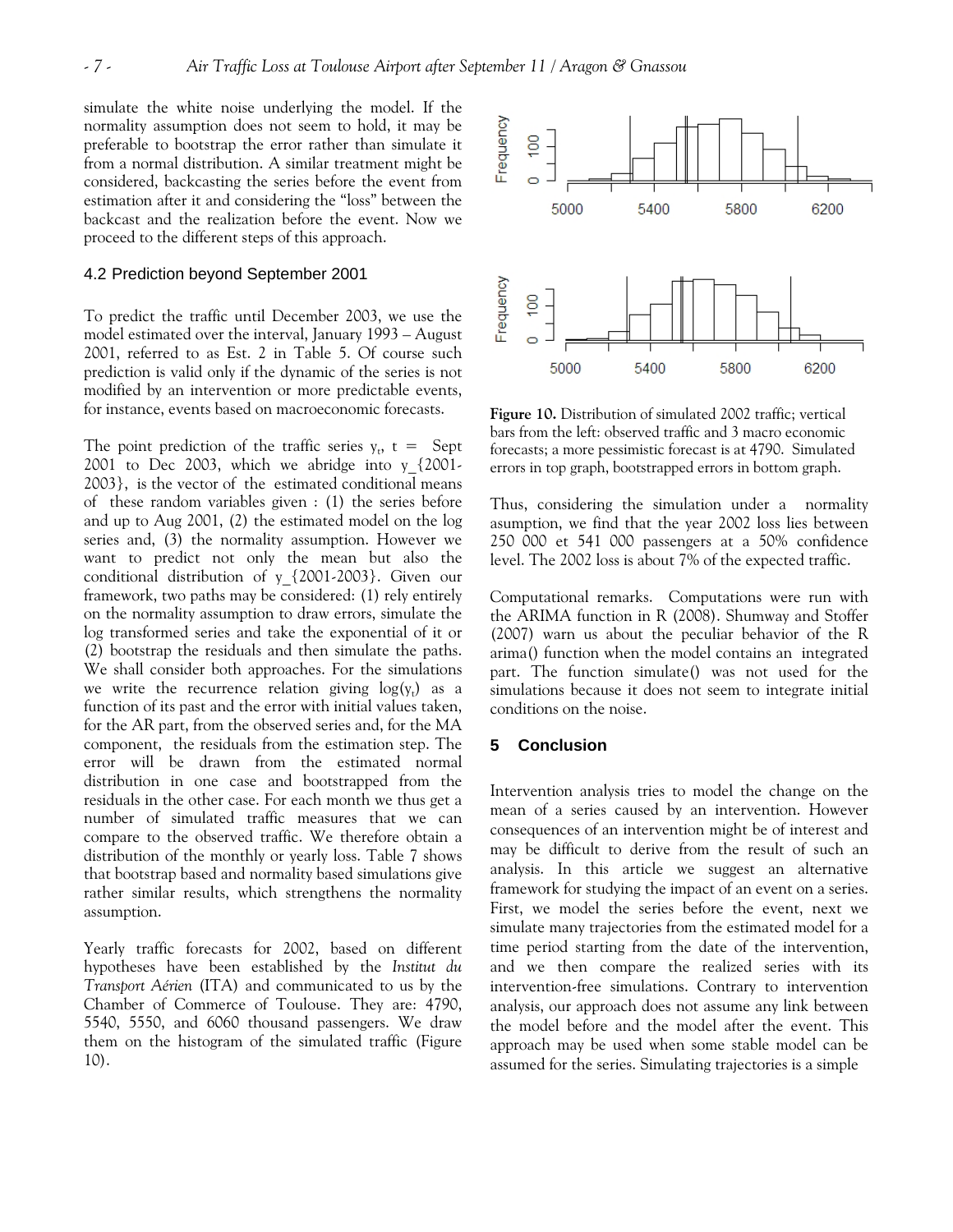simulate the white noise underlying the model. If the normality assumption does not seem to hold, it may be preferable to bootstrap the error rather than simulate it from a normal distribution. A similar treatment might be considered, backcasting the series before the event from estimation after it and considering the "loss" between the backcast and the realization before the event. Now we proceed to the different steps of this approach.

# 4.2 Prediction beyond September 2001

To predict the traffic until December 2003, we use the model estimated over the interval, January 1993 – August 2001, referred to as Est. 2 in Table 5. Of course such prediction is valid only if the dynamic of the series is not modified by an intervention or more predictable events, for instance, events based on macroeconomic forecasts. **Figure 10.** Distribution of simulated 2002 traffic; vertical

The point prediction of the traffic series  $y_t$ ,  $t =$  Sept 2001 to Dec 2003, which we abridge into y\_{2001- 2003}, is the vector of the estimated conditional means of these random variables given : (1) the series before and up to Aug 2001, (2) the estimated model on the log series and, (3) the normality assumption. However we want to predict not only the mean but also the conditional distribution of y\_{2001-2003}. Given our framework, two paths may be considered: (1) rely entirely on the normality assumption to draw errors, simulate the log transformed series and take the exponential of it or (2) bootstrap the residuals and then simulate the paths. We shall consider both approaches. For the simulations we write the recurrence relation giving  $log(y_t)$  as a function of its past and the error with initial values taken, for the AR part, from the observed series and, for the MA component, the residuals from the estimation step. The error will be drawn from the estimated normal distribution in one case and bootstrapped from the residuals in the other case. For each month we thus get a number of simulated traffic measures that we can compare to the observed traffic. We therefore obtain a distribution of the monthly or yearly loss. Table 7 shows that bootstrap based and normality based simulations give rather similar results, which strengthens the normality assumption.

Yearly traffic forecasts for 2002, based on different hypotheses have been established by the *Institut du Transport Aérien* (ITA) and communicated to us by the Chamber of Commerce of Toulouse. They are: 4790, 5540, 5550, and 6060 thousand passengers. We draw them on the histogram of the simulated traffic (Figure 10).



bars from the left: observed traffic and 3 macro economic forecasts; a more pessimistic forecast is at 4790. Simulated errors in top graph, bootstrapped errors in bottom graph.

Thus, considering the simulation under a normality asumption, we find that the year 2002 loss lies between 250 000 et 541 000 passengers at a 50% confidence level. The 2002 loss is about 7% of the expected traffic.

Computational remarks. Computations were run with the ARIMA function in R (2008). Shumway and Stoffer (2007) warn us about the peculiar behavior of the R arima() function when the model contains an integrated part. The function simulate() was not used for the simulations because it does not seem to integrate initial conditions on the noise.

### **5 Conclusion**

Intervention analysis tries to model the change on the mean of a series caused by an intervention. However consequences of an intervention might be of interest and may be difficult to derive from the result of such an analysis. In this article we suggest an alternative framework for studying the impact of an event on a series. First, we model the series before the event, next we simulate many trajectories from the estimated model for a time period starting from the date of the intervention, and we then compare the realized series with its intervention-free simulations. Contrary to intervention analysis, our approach does not assume any link between the model before and the model after the event. This approach may be used when some stable model can be assumed for the series. Simulating trajectories is a simple